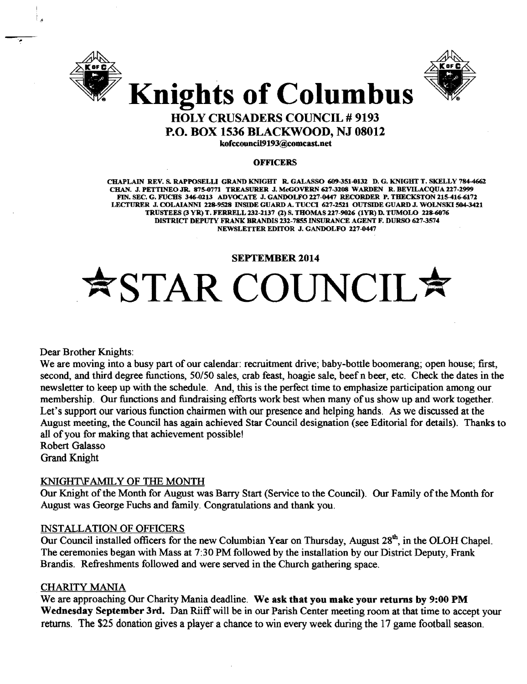



### HOLY CRUSADERS COUNCIL # 9193 P.O. BOX 1536 BLACKWOOD, NJ 08012 kofccouncil9193@comcast.net

#### **OFFICERS**

CHAPLAIN REV. S. RAPPOSELLI GRAND KNIGHT R. GALASSO fi09-351-0132 D. G. KNIGHT T. SKELLY 784-4662 CHAN. J. PETTINEO JR. 875-0771 TREASURER J. MeGOVERN 627-3208 WARDEN R. BEVILACQUA 227-2999 FIN. SEC. G. FUCHS 346-0213 ADVOCATE J. GANDOLFO 227-0447 RECORDER P. THECKSTON 215-416-6172 LECTURER J. COLAIANNI 228-9528 INSIDE GUARD A. TUCCI 627-2521 OUTSIDE GUARD J. WOLNSKI 504-3421 TRUSTEES (3 YR) T. FERRELL 232-2137 (2) S. THOMAS 227-9026 (1YR) D. TUMOLO 228-6076 DISTRICT DEPUTY FRANK BRANDIS 232-7855 INSURANCE AGENT F. DURSO 627-3574 NEWSLETTER EDITOR J. GANDOLFO 227-0447

#### SEPTEMBER 2014

# \*STAR COUNCIL\*

Dear Brother Knights:

-,

We are moving into a busy part of our calendar: recruitment drive; baby-bottle boomerang; open house; first, second, and third degree functions, *50/50* sales, crab feast, hoagie sale, beefn beer, etc. Check the dates in the newsletter to keep up with the schedule. And, this is the perfect time to emphasize participation among our membership. Our functions and fundraising efforts work best when many of us show up and work together. Let's support our various function chairmen with our presence and helping hands. As we discussed at the August meeting, the Council has again achieved Star Council designation (see Editorial for details). Thanks to all of you for making that achievement possible! Robert Galasso

Grand Knight

#### KNIGHT\F AMIL Y OF THE MONTH

Our Knight of the Month for August was Barry Start (Service to the Council). Our Family of the Month for August was George Fuchs and family. Congratulations and thank you.

#### INSTALLATION OF OFFICERS

Our Council installed officers for the new Columbian Year on Thursday, August  $28<sup>th</sup>$ , in the OLOH Chapel. The ceremonies began with Mass at 7:30 PM followed by the installation by our District Deputy, Frank Brandis. Refreshments followed and were served in the Church gathering space.

#### CHARITY MANIA

We are approaching Our Charity Mania deadline. We ask that you make your returns by 9:00 PM Wednesday September 3rd. Dan Riiff will be in our Parish Center meeting room at that time to accept your returns. The \$25 donation gives a player a chance to win every week during the 17 game football season.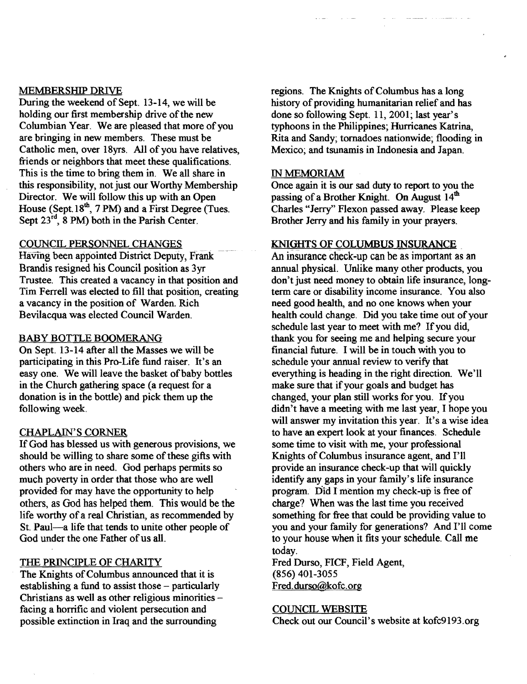#### MEMBERSHIP DRIVE

During the weekend of Sept. 13-14, we will be holding our first membership drive of the new Columbian Year. We are pleased that more of you are bringing in new members. These must be Catholic men, over 18yrs. All of you have relatives, friends or neighbors that meet these qualifications. This is the time to bring them in. We all share in this responsibility, not just our Worthy Membership Director. We will follow this up with an Open House (Sept.  $18^{th}$ , 7 PM) and a First Degree (Tues. Sept  $23<sup>rd</sup>$ , 8 PM) both in the Parish Center.

#### COUNCIL PERSONNEL CHANGES

HaVIng been appointed District Deputy, Frank Brandis resigned his Council position as 3yr Trustee. This created a vacancy in that position and Tim Ferrell was elected to fill that position, creating a vacancy in the position of Warden. Rich Bevilacqua was elected Council Warden.

#### BABY BOTTLE BOOMERANG

On Sept. 13-14 after all the Masses we will be participating in this Pro-Life fund raiser. It's an easy one. We will leave the basket of baby bottles in the Church gathering space (a request for a donation is in the bottle) and pick them up the following week.

#### CHAPLAIN'S CORNER

If God has blessed us with generous provisions, we should be willing to share some of these gifts with others who are in need. God perhaps permits so much poverty in order that those who are well provided for may have the opportunity to help others, as God has helped them. This would be the life worthy of a real Christian, as recommended by St. Paul-a life that tends to unite other people of God under the one Father of us all.

#### THE PRINCIPLE OF CHARITY

The Knights of Columbus announced that it is establishing a fund to assist those - particularly Christians as well as other religious minorities facing a horrific and violent persecution and possible extinction in Iraq and the surrounding

regions. The Knights of Columbus has a long history of providing humanitarian relief and has done so following Sept. 11, 2001; last year's typhoons in the Philippines; Hurricanes Katrina, Rita and Sandy; tornadoes nationwide; flooding in Mexico; and tsunamis in Indonesia and Japan.

#### IN MEMORIAM

Once again it is our sad duty to report to you the passing of a Brother Knight. On August 14<sup>th</sup> Charles "Jerry" Flexon passed away. Please keep Brother Jerry and his family in your prayers.

#### KNIGHTS OF COLUMBUS INSURANCE.

An insurance check-up can be as important as an annual physical. Unlike many other products, you don't just need money to obtain life insurance, longterm care or disability income insurance. You also need good health, and no one knows when your health could change. Did you take time out of your schedule last year to meet with me? If you did, thank you for seeing me and helping secure your fmancial future. I will be in touch with you to schedule your annual review to verify that everything is heading in the right direction. We'll make sure that ifyour goals and budget has changed, your plan still works for you. If you didn't have a meeting with me last year, I hope you will answer my invitation this year. It's a wise idea to have an expert look at your finances. Schedule some time to visit with me, your professional Knights of Columbus insurance agent, and I'll provide an insurance check-up that will quickly identify any gaps in your family's life insurance program. Did I mention my check-up is free of charge? When was the last time you received something for free that could be providing value to you and your family for generations? And I'II come to your house when it fits your schedule. Call me today.

Fred Durso, FICF, Field Agent, (856) 401-3055 Fred.durso@kofc.org

#### COUNCIL WEBSITE

Check out our Council's website at kofc9193.org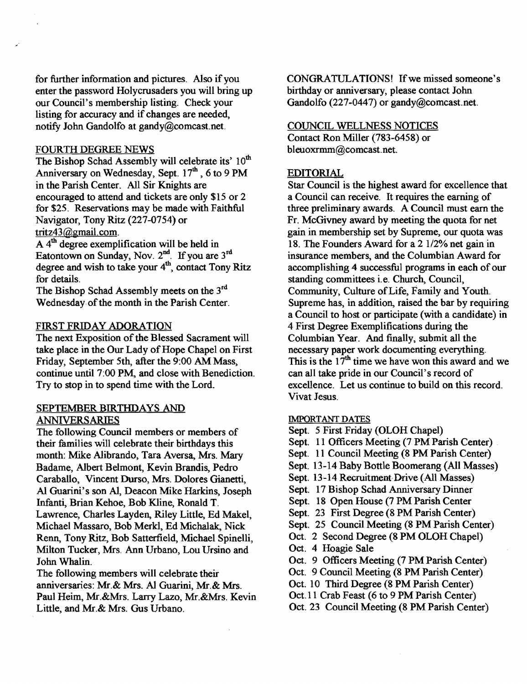for further information and pictures. Also if you enter the password Holycrusaders you will bring up our Council's membership listing. Check your listing for accuracy and if changes are needed, notify John Gandolfo at gandy@comcast.net.

#### FOURTH DEGREE NEWS

The Bishop Schad Assembly will celebrate its' 10<sup>th</sup> Anniversary on Wednesday, Sept. 17<sup>th</sup>, 6 to 9 PM in the Parish Center. All Sir Knights are encouraged to attend and tickets are only \$15 or 2 for \$25. Reservations may be made with Faithful Navigator, Tony Ritz (227-O754) or tritz43@gmail.com.

A  $4<sup>th</sup>$  degree exemplification will be held in Eatontown on Sunday, Nov.  $2<sup>nd</sup>$ . If you are  $3<sup>rd</sup>$ degree and wish to take your  $4<sup>th</sup>$ , contact Tony Ritz for details.

The Bishop Schad Assembly meets on the 3<sup>rd</sup> Wednesday of the month in the Parish Center.

#### FIRST FRIDAY ADORATION

The next Exposition of the Blessed Sacrament will take place in the Our Lady of Hope Chapel on First Friday, September 5th, after the 9:00 AM Mass, continue until 7:00 PM, and close with Benediction. Try to stop in to spend time with the Lord.

#### SEPTEMBER BIRTHDAYS AND ANNIVERSARIES

The following Council members or members of their families will celebrate their birthdays this month: Mike Alibrando, Tara Aversa, Mrs. Mary Badame, Albert Belmont, Kevin Brandis, Pedro Caraballo, Vincent Durso, Mrs. Dolores Gianetti, Al Guarini's son Al, Deacon Mike Harkins, Joseph Infanti, Brian Kehoe, Bob Kline, Ronald T. Lawrence, Charles Layden, Riley Little, Ed Makel, Michael Massaro, Bob Merkt, Ed Michalak, Nick Renn, Tony Ritz, Bob Satterfield, Michael Spinelli, Milton Tucker, Mrs. Ann Urbano, Lou Ursino and John Whalin.

The following members will celebrate their anniversaries: Mr.& Mrs. Al Guarini, Mr.& Mrs. Paul Heim, Mr.&Mrs. Larry Lazo, Mr.&Mrs. Kevin Little, and Mr.& Mrs. Gus Urbano.

CONGRATULATIONS! If we missed someone's birthday or anniversary, please contact John Gandolfo (227-0447) or gandy@comcast.net.

#### COUNCIL WELLNESS NOTICES

Contact Ron Miller (783-6458) or bleuoxrmm@comcast.net.

#### EDITORIAL

Star Council is the highest award for excellence that a Council can receive. It requires the earning of three preliminary awards. A Council must earn the Fr. McGivney award by meeting the quota for net gain in membership set by Supreme, our quota was 18. The Founders Award for a 2 1/2% net gain in insurance members, and the Columbian Award for accomplishing 4 successful programs in each of our standing committees i.e. Church, Council, Community, Culture of Life, Family and Youth. Supreme has, in addition, raised the bar by requiring a Council to host or participate (with a candidate) in 4 First Degree Exemplifications during the Columbian Year. And finally, submit all the necessary paper work documenting everything. This is the  $17<sup>th</sup>$  time we have won this award and we can all take pride in our Council's record of excellence. Let us continue to build on this record. Vivat Jesus.

#### IMPORTANT DATES

Sept. 5 First Friday (OLOH Chapel) Sept. 11 Officers Meeting (7 PM Parish Center) Sept. 11 Council Meeting (8 PM Parish Center) Sept. 13-14 Baby Bottle Boomerang (All Masses) Sept. 13-14 Recruitment Drive (All Masses) Sept. 17 Bishop Schad Anniversary Dinner Sept. 18 Open House (7 PM Parish Center Sept. 23 First Degree (8 PM Parish Center) Sept. 25 Council Meeting (8 PM Parish Center) Oct. 2 Second Degree (8 PM OLOH Chapel) Oct. 4 Hoagie Sale Oct. 9 Officers Meeting (7 PM Parish Center) Oct. 9 Council Meeting (8 PM Parish Center) Oct. 10 Third Degree (8 PM Parish Center) Oct. 11 Crab Feast (6 to 9 PM Parish Center) Oct. 23 Council Meeting (8 PM Parish Center)